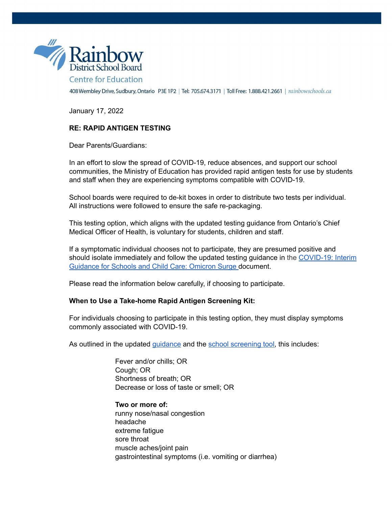

408 Wembley Drive, Sudbury, Ontario P3E 1P2 | Tel: 705.674.3171 | Toll Free: 1.888.421.2661 | rainbowschools.ca

January 17, 2022

# **RE: RAPID ANTIGEN TESTING**

Dear Parents/Guardians:

In an effort to slow the spread of COVID-19, reduce absences, and support our school communities, the Ministry of Education has provided rapid antigen tests for use by students and staff when they are experiencing symptoms compatible with COVID-19.

School boards were required to de-kit boxes in order to distribute two tests per individual. All instructions were followed to ensure the safe re-packaging.

This testing option, which aligns with the updated testing guidance from Ontario's Chief Medical Officer of Health, is voluntary for students, children and staff.

If a symptomatic individual chooses not to participate, they are presumed positive and should isolate immediately and follow the updated testing guidance in the [COVID-19:](https://www.health.gov.on.ca/en/pro/programs/publichealth/coronavirus/docs/school_childcare_guidance_omicron.pdf) Interim [Guidance](https://www.health.gov.on.ca/en/pro/programs/publichealth/coronavirus/docs/school_childcare_guidance_omicron.pdf) for Schools and Child Care: Omicron Surge document.

Please read the information below carefully, if choosing to participate.

### **When to Use a Take-home Rapid Antigen Screening Kit:**

For individuals choosing to participate in this testing option, they must display symptoms commonly associated with COVID-19.

As outlined in the updated *[guidance](https://www.health.gov.on.ca/en/pro/programs/publichealth/coronavirus/docs/school_childcare_guidance_omicron.pdf)* and the school [screening](https://covid-19.ontario.ca/school-screening/) tool, this includes:

Fever and/or chills; OR Cough; OR Shortness of breath; OR Decrease or loss of taste or smell; OR

**Two or more of:** runny nose/nasal congestion headache extreme fatigue sore throat muscle aches/joint pain gastrointestinal symptoms (i.e. vomiting or diarrhea)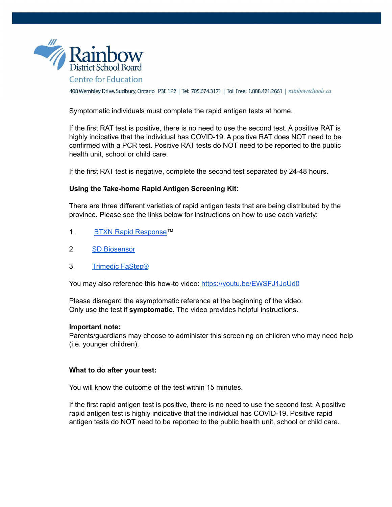

408 Wembley Drive, Sudbury, Ontario P3E 1P2 | Tel: 705.674.3171 | Toll Free: 1.888.421.2661 | rainbowschools.ca

Symptomatic individuals must complete the rapid antigen tests at home.

If the first RAT test is positive, there is no need to use the second test. A positive RAT is highly indicative that the individual has COVID-19. A positive RAT does NOT need to be confirmed with a PCR test. Positive RAT tests do NOT need to be reported to the public health unit, school or child care.

If the first RAT test is negative, complete the second test separated by 24-48 hours.

## **Using the Take-home Rapid Antigen Screening Kit:**

There are three different varieties of rapid antigen tests that are being distributed by the province. Please see the links below for instructions on how to use each variety:

- 1. BTXN Rapid [Response™](https://www.ontariohealth.ca/sites/ontariohealth/files/2022-01/BTNXSelfScreeningInstructions.pdf)
- 2. SD [Biosensor](https://www.ontariohealth.ca/sites/ontariohealth/files/2021-12/SDBiosensorSelfScreeningInstructions.pdf)
- 3. Trimedic [FaStep®](https://www.ontariohealth.ca/sites/ontariohealth/files/2022-01/Trimedic%20Self%20Screening%20Instructions.pdf)

You may also reference this how-to video: <https://youtu.be/EWSFJ1JoUd0>

Please disregard the asymptomatic reference at the beginning of the video. Only use the test if **symptomatic**. The video provides helpful instructions.

### **Important note:**

Parents/guardians may choose to administer this screening on children who may need help (i.e. younger children).

### **What to do after your test:**

You will know the outcome of the test within 15 minutes.

If the first rapid antigen test is positive, there is no need to use the second test. A positive rapid antigen test is highly indicative that the individual has COVID-19. Positive rapid antigen tests do NOT need to be reported to the public health unit, school or child care.